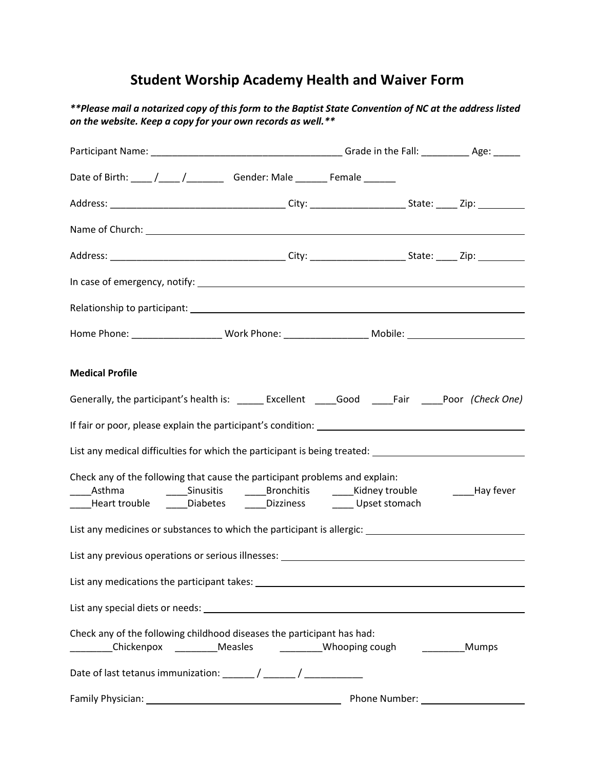## **Student Worship Academy Health and Waiver Form**

*\*\*Please mail a notarized copy of this form to the Baptist State Convention of NC at the address listed on the website. Keep a copy for your own records as well.\*\** 

| Date of Birth: ____ /____ /____________ Gender: Male ________ Female _______                                                                                                                                                                            |                                                                                                                                                                                                                                      |       |
|---------------------------------------------------------------------------------------------------------------------------------------------------------------------------------------------------------------------------------------------------------|--------------------------------------------------------------------------------------------------------------------------------------------------------------------------------------------------------------------------------------|-------|
|                                                                                                                                                                                                                                                         |                                                                                                                                                                                                                                      |       |
|                                                                                                                                                                                                                                                         |                                                                                                                                                                                                                                      |       |
|                                                                                                                                                                                                                                                         |                                                                                                                                                                                                                                      |       |
|                                                                                                                                                                                                                                                         |                                                                                                                                                                                                                                      |       |
|                                                                                                                                                                                                                                                         |                                                                                                                                                                                                                                      |       |
| Home Phone: ___________________________Work Phone: ___________________________Mobile: ________________________                                                                                                                                          |                                                                                                                                                                                                                                      |       |
| <b>Medical Profile</b>                                                                                                                                                                                                                                  |                                                                                                                                                                                                                                      |       |
| Generally, the participant's health is: ______ Excellent _____Good _____Fair ____Poor (Check One)                                                                                                                                                       |                                                                                                                                                                                                                                      |       |
|                                                                                                                                                                                                                                                         |                                                                                                                                                                                                                                      |       |
| List any medical difficulties for which the participant is being treated: _________________________                                                                                                                                                     |                                                                                                                                                                                                                                      |       |
| Check any of the following that cause the participant problems and explain:<br>_____Asthma      _____Sinusitis    _____Bronchitis    _____Kidney trouble     _____Hay fever<br>____Heart trouble ______Diabetes _______Dizziness ________ Upset stomach |                                                                                                                                                                                                                                      |       |
| List any medicines or substances to which the participant is allergic: _____________________________                                                                                                                                                    |                                                                                                                                                                                                                                      |       |
|                                                                                                                                                                                                                                                         |                                                                                                                                                                                                                                      |       |
| List any medications the participant takes:                                                                                                                                                                                                             | <u>and the state of the state of the state of the state of the state of the state of the state of the state of the state of the state of the state of the state of the state of the state of the state of the state of the state</u> |       |
|                                                                                                                                                                                                                                                         |                                                                                                                                                                                                                                      |       |
| Check any of the following childhood diseases the participant has had:<br>Chickenpox Measles Measles Measles Mooping cough                                                                                                                              |                                                                                                                                                                                                                                      | Mumps |
|                                                                                                                                                                                                                                                         |                                                                                                                                                                                                                                      |       |
|                                                                                                                                                                                                                                                         | Phone Number:                                                                                                                                                                                                                        |       |